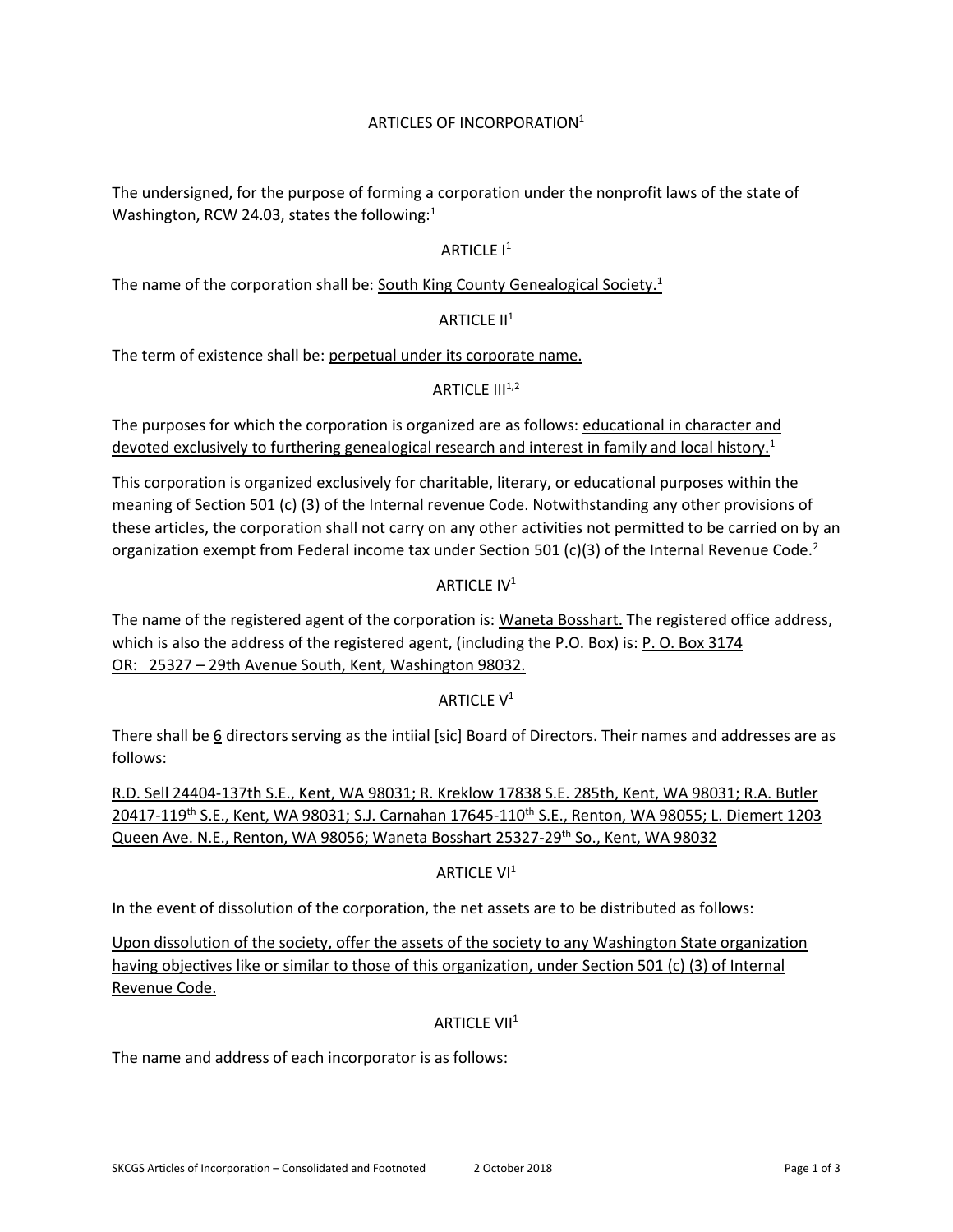# ARTICLES OF INCORPORATION 1

The undersigned, for the purpose of forming a corporation under the nonprofit laws of the state of Washington, RCW 24.03, states the following: $1$ 

## ARTICLE  $I<sup>1</sup>$

The name of the corporation shall be: South King County Genealogical Society.<sup>1</sup>

#### ARTICLE  $II<sup>1</sup>$

The term of existence shall be: perpetual under its corporate name.

#### ARTICLE  $III^{1,2}$

The purposes for which the corporation is organized are as follows: educational in character and devoted exclusively to furthering genealogical research and interest in family and local history.<sup>1</sup>

This corporation is organized exclusively for charitable, literary, or educational purposes within the meaning of Section 501 (c) (3) of the Internal revenue Code. Notwithstanding any other provisions of these articles, the corporation shall not carry on any other activities not permitted to be carried on by an organization exempt from Federal income tax under Section 501 (c)(3) of the Internal Revenue Code.<sup>2</sup>

## ARTICLE IV<sup>1</sup>

The name of the registered agent of the corporation is: Waneta Bosshart. The registered office address, which is also the address of the registered agent, (including the P.O. Box) is: P. O. Box 3174 OR: 25327 – 29th Avenue South, Kent, Washington 98032.

#### ARTICLE V<sup>1</sup>

There shall be 6 directors serving as the intiial [sic] Board of Directors. Their names and addresses are as follows:

R.D. Sell 24404-137th S.E., Kent, WA 98031; R. Kreklow 17838 S.E. 285th, Kent, WA 98031; R.A. Butler 20417-119th S.E., Kent, WA 98031; S.J. Carnahan 17645-110th S.E., Renton, WA 98055; L. Diemert 1203 Queen Ave. N.E., Renton, WA 98056; Waneta Bosshart 25327-29<sup>th</sup> So., Kent, WA 98032

#### ARTICLE VI<sup>1</sup>

In the event of dissolution of the corporation, the net assets are to be distributed as follows:

Upon dissolution of the society, offer the assets of the society to any Washington State organization having objectives like or similar to those of this organization, under Section 501 (c) (3) of Internal Revenue Code.

#### **ARTICLE VII<sup>1</sup>**

The name and address of each incorporator is as follows: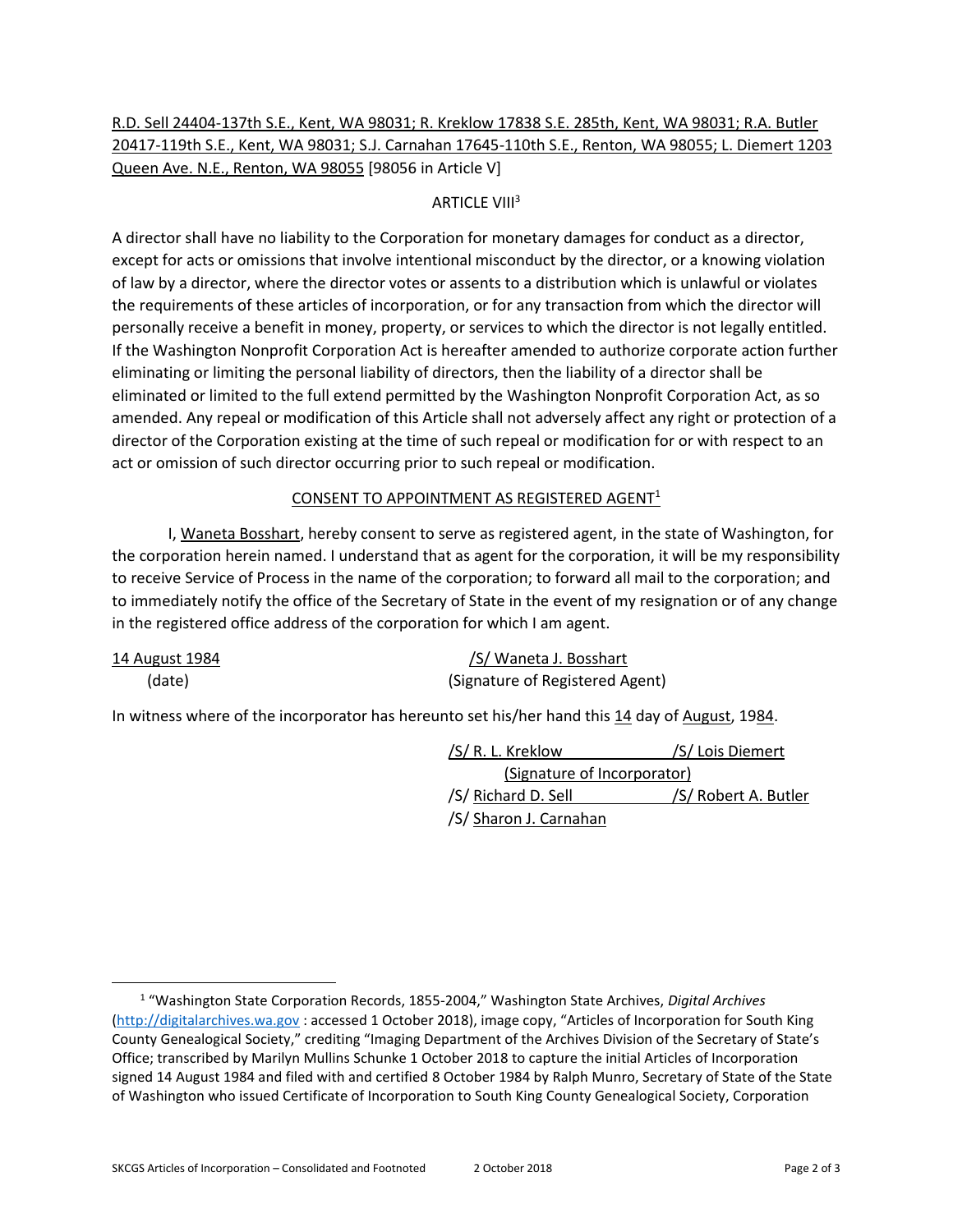# R.D. Sell 24404-137th S.E., Kent, WA 98031; R. Kreklow 17838 S.E. 285th, Kent, WA 98031; R.A. Butler 20417-119th S.E., Kent, WA 98031; S.J. Carnahan 17645-110th S.E., Renton, WA 98055; L. Diemert 1203 Queen Ave. N.E., Renton, WA 98055 [98056 in Article V]

# **ARTICLE VIII<sup>3</sup>**

A director shall have no liability to the Corporation for monetary damages for conduct as a director, except for acts or omissions that involve intentional misconduct by the director, or a knowing violation of law by a director, where the director votes or assents to a distribution which is unlawful or violates the requirements of these articles of incorporation, or for any transaction from which the director will personally receive a benefit in money, property, or services to which the director is not legally entitled. If the Washington Nonprofit Corporation Act is hereafter amended to authorize corporate action further eliminating or limiting the personal liability of directors, then the liability of a director shall be eliminated or limited to the full extend permitted by the Washington Nonprofit Corporation Act, as so amended. Any repeal or modification of this Article shall not adversely affect any right or protection of a director of the Corporation existing at the time of such repeal or modification for or with respect to an act or omission of such director occurring prior to such repeal or modification.

## CONSENT TO APPOINTMENT AS REGISTERED AGENT<sup>1</sup>

I, Waneta Bosshart, hereby consent to serve as registered agent, in the state of Washington, for the corporation herein named. I understand that as agent for the corporation, it will be my responsibility to receive Service of Process in the name of the corporation; to forward all mail to the corporation; and to immediately notify the office of the Secretary of State in the event of my resignation or of any change in the registered office address of the corporation for which I am agent.

| 14 August 1984 | /S/ Waneta J. Bosshart          |
|----------------|---------------------------------|
| (date)         | (Signature of Registered Agent) |

In witness where of the incorporator has hereunto set his/her hand this 14 day of August, 1984.

/S/ R. L. Kreklow /S/ Lois Diemert (Signature of Incorporator) /S/ Richard D. Sell /S/ Robert A. Butler /S/ Sharon J. Carnahan

<sup>1</sup> "Washington State Corporation Records, 1855-2004," Washington State Archives, *Digital Archives* [\(http://digitalarchives.wa.gov](http://digitalarchives.wa.gov/) : accessed 1 October 2018), image copy, "Articles of Incorporation for South King County Genealogical Society," crediting "Imaging Department of the Archives Division of the Secretary of State's Office; transcribed by Marilyn Mullins Schunke 1 October 2018 to capture the initial Articles of Incorporation signed 14 August 1984 and filed with and certified 8 October 1984 by Ralph Munro, Secretary of State of the State of Washington who issued Certificate of Incorporation to South King County Genealogical Society, Corporation